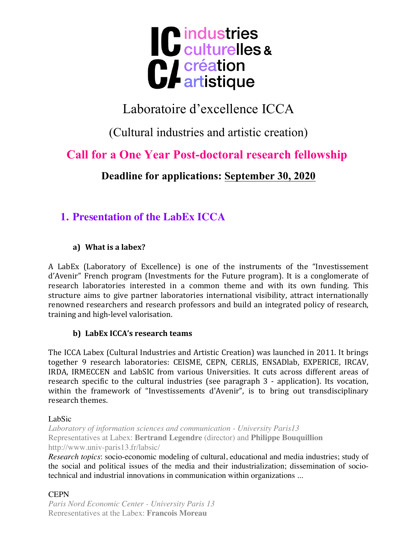

# Laboratoire d'excellence ICCA

(Cultural industries and artistic creation)

# **Call for a One Year Post-doctoral research fellowship**

**Deadline for applications: September 30, 2020**

# **1. Presentation of the LabEx ICCA**

### **a**) What is a labex?

A LabEx (Laboratory of Excellence) is one of the instruments of the "Investissement d'Avenir" French program (Investments for the Future program). It is a conglomerate of research laboratories interested in a common theme and with its own funding. This structure aims to give partner laboratories international visibility, attract internationally renowned researchers and research professors and build an integrated policy of research, training and high-level valorisation.

### **b**) LabEx ICCA's research teams

The ICCA Labex (Cultural Industries and Artistic Creation) was launched in 2011. It brings together 9 research laboratories: CEISME, CEPN, CERLIS, ENSADlab, EXPERICE, IRCAV, IRDA, IRMECCEN and LabSIC from various Universities. It cuts across different areas of research specific to the cultural industries (see paragraph 3 - application). Its vocation, within the framework of "Investissements d'Avenir", is to bring out transdisciplinary research themes.

LabSic

*Laboratory of information sciences and communication - University Paris13* Representatives at Labex: **Bertrand Legendre** (director) and **Philippe Bouquillion** http://www.univ-paris13.fr/labsic/

*Research topics*: socio-economic modeling of cultural, educational and media industries; study of the social and political issues of the media and their industrialization; dissemination of sociotechnical and industrial innovations in communication within organizations ...

### **CEPN**

*Paris Nord Economic Center - University Paris 13*  Representatives at the Labex: **François Moreau**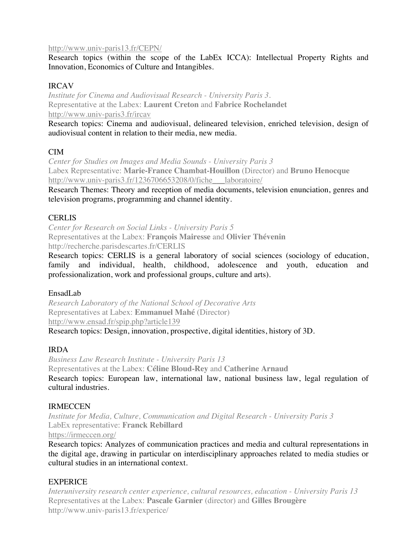#### http://www.univ-paris13.fr/CEPN/

Research topics (within the scope of the LabEx ICCA): Intellectual Property Rights and Innovation, Economics of Culture and Intangibles.

#### IRCAV

*Institute for Cinema and Audiovisual Research - University Paris 3.* Representative at the Labex: **Laurent Creton** and **Fabrice Rochelandet** http://www.univ-paris3.fr/ircav

Research topics: Cinema and audiovisual, delineared television, enriched television, design of audiovisual content in relation to their media, new media.

#### CIM

*Center for Studies on Images and Media Sounds - University Paris 3*  Labex Representative: **Marie-France Chambat-Houillon** (Director) and **Bruno Henocque** http://www.univ-paris3.fr/1236706653208/0/fiche laboratoire/

Research Themes: Theory and reception of media documents, television enunciation, genres and television programs, programming and channel identity.

#### **CERLIS**

*Center for Research on Social Links - University Paris 5*  Representatives at the Labex: **François Mairesse** and **Olivier Thévenin** http://recherche.parisdescartes.fr/CERLIS

Research topics: CERLIS is a general laboratory of social sciences (sociology of education, family and individual, health, childhood, adolescence and youth, education and professionalization, work and professional groups, culture and arts).

#### EnsadLab

*Research Laboratory of the National School of Decorative Arts*  Representatives at Labex: **Emmanuel Mahé** (Director) http://www.ensad.fr/spip.php?article139 Research topics: Design, innovation, prospective, digital identities, history of 3D.

#### IRDA

*Business Law Research Institute - University Paris 13*  Representatives at the Labex: **Céline Bloud-Rey** and **Catherine Arnaud** Research topics: European law, international law, national business law, legal regulation of cultural industries.

#### IRMECCEN

*Institute for Media, Culture, Communication and Digital Research - University Paris 3*  LabEx representative: **Franck Rebillard** https://irmeccen.org/

Research topics: Analyzes of communication practices and media and cultural representations in the digital age, drawing in particular on interdisciplinary approaches related to media studies or cultural studies in an international context.

#### **EXPERICE**

*Interuniversity research center experience, cultural resources, education - University Paris 13*  Representatives at the Labex: **Pascale Garnier** (director) and **Gilles Brougère** http://www.univ-paris13.fr/experice/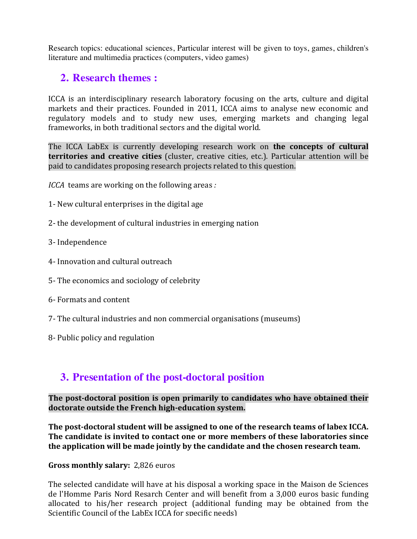Research topics: educational sciences, Particular interest will be given to toys, games, children's literature and multimedia practices (computers, video games)

## **2. Research themes :**

ICCA is an interdisciplinary research laboratory focusing on the arts, culture and digital markets and their practices. Founded in 2011, ICCA aims to analyse new economic and regulatory models and to study new uses, emerging markets and changing legal frameworks, in both traditional sectors and the digital world.

The ICCA LabEx is currently developing research work on **the concepts of cultural territories and creative cities** (cluster, creative cities, etc.). Particular attention will be paid to candidates proposing research projects related to this question.

*ICCA* teams are working on the following areas :

- 1- New cultural enterprises in the digital age
- 2- the development of cultural industries in emerging nation
- 3- Independence
- 4- Innovation and cultural outreach
- 5- The economics and sociology of celebrity
- 6- Formats and content
- 7- The cultural industries and non commercial organisations (museums)
- 8- Public policy and regulation

# **3. Presentation of the post-doctoral position**

#### The post-doctoral position is open primarily to candidates who have obtained their doctorate outside the French high-education system.

The post-doctoral student will be assigned to one of the research teams of labex ICCA. **The candidate is invited to contact one or more members of these laboratories since** the application will be made jointly by the candidate and the chosen research team.

#### **Gross monthly salary: 2,826 euros**

The selected candidate will have at his disposal a working space in the Maison de Sciences de l'Homme Paris Nord Resarch Center and will benefit from a 3,000 euros basic funding allocated to his/her research project (additional funding may be obtained from the Scientific Council of the LabEx ICCA for specific needs)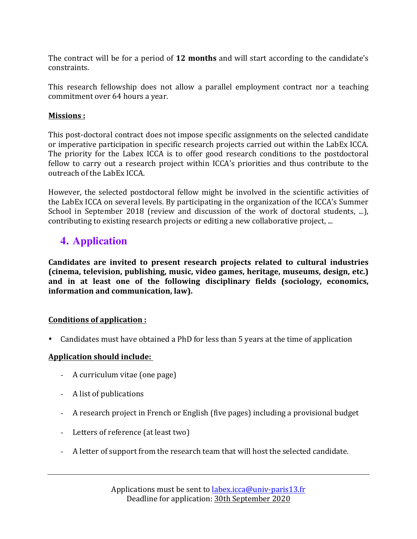The contract will be for a period of **12 months** and will start according to the candidate's constraints. 

This research fellowship does not allow a parallel employment contract nor a teaching commitment over 64 hours a year.

#### **Missions :**

This post-doctoral contract does not impose specific assignments on the selected candidate or imperative participation in specific research projects carried out within the LabEx ICCA. The priority for the Labex ICCA is to offer good research conditions to the postdoctoral fellow to carry out a research project within ICCA's priorities and thus contribute to the outreach of the LabEx ICCA.

However, the selected postdoctoral fellow might be involved in the scientific activities of the LabEx ICCA on several levels. By participating in the organization of the ICCA's Summer School in September 2018 (review and discussion of the work of doctoral students, ...), contributing to existing research projects or editing a new collaborative project, ...

# **4. Application**

**Candidates are invited to present research projects related to cultural industries (cinema, television, publishing, music, video games, heritage, museums, design, etc.)** and in at least one of the following disciplinary fields (sociology, economics, information and communication, law).

### **Conditions of application :**

Candidates must have obtained a PhD for less than 5 years at the time of application

### **Application should include:**

- A curriculum vitae (one page)
- A list of publications
- A research project in French or English (five pages) including a provisional budget
- Letters of reference (at least two)
- A letter of support from the research team that will host the selected candidate.